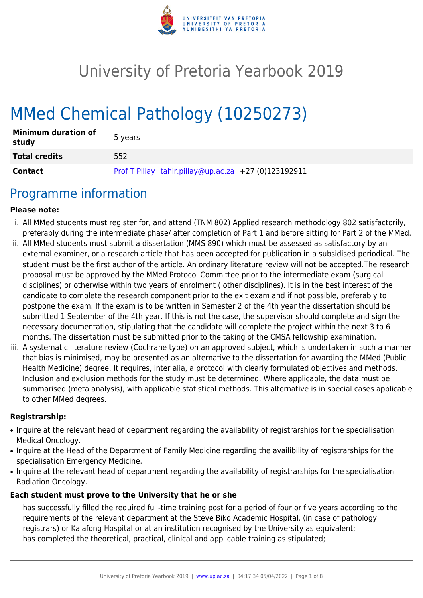

# University of Pretoria Yearbook 2019

# MMed Chemical Pathology (10250273)

| <b>Minimum duration of</b><br>study | 5 years                                              |
|-------------------------------------|------------------------------------------------------|
| <b>Total credits</b>                | 552                                                  |
| <b>Contact</b>                      | Prof T Pillay tahir.pillay@up.ac.za +27 (0)123192911 |

## Programme information

#### **Please note:**

- i. All MMed students must register for, and attend (TNM 802) Applied research methodology 802 satisfactorily, preferably during the intermediate phase/ after completion of Part 1 and before sitting for Part 2 of the MMed.
- ii. All MMed students must submit a dissertation (MMS 890) which must be assessed as satisfactory by an external examiner, or a research article that has been accepted for publication in a subsidised periodical. The student must be the first author of the article. An ordinary literature review will not be accepted.The research proposal must be approved by the MMed Protocol Committee prior to the intermediate exam (surgical disciplines) or otherwise within two years of enrolment ( other disciplines). It is in the best interest of the candidate to complete the research component prior to the exit exam and if not possible, preferably to postpone the exam. If the exam is to be written in Semester 2 of the 4th year the dissertation should be submitted 1 September of the 4th year. If this is not the case, the supervisor should complete and sign the necessary documentation, stipulating that the candidate will complete the project within the next 3 to 6 months. The dissertation must be submitted prior to the taking of the CMSA fellowship examination.
- iii. A systematic literature review (Cochrane type) on an approved subject, which is undertaken in such a manner that bias is minimised, may be presented as an alternative to the dissertation for awarding the MMed (Public Health Medicine) degree, It requires, inter alia, a protocol with clearly formulated objectives and methods. Inclusion and exclusion methods for the study must be determined. Where applicable, the data must be summarised (meta analysis), with applicable statistical methods. This alternative is in special cases applicable to other MMed degrees.

#### **Registrarship:**

- Inquire at the relevant head of department regarding the availability of registrarships for the specialisation Medical Oncology.
- Inquire at the Head of the Department of Family Medicine regarding the availibility of registrarships for the specialisation Emergency Medicine.
- Inquire at the relevant head of department regarding the availability of registrarships for the specialisation Radiation Oncology.

#### **Each student must prove to the University that he or she**

- i. has successfully filled the required full-time training post for a period of four or five years according to the requirements of the relevant department at the Steve Biko Academic Hospital, (in case of pathology registrars) or Kalafong Hospital or at an institution recognised by the University as equivalent;
- ii. has completed the theoretical, practical, clinical and applicable training as stipulated;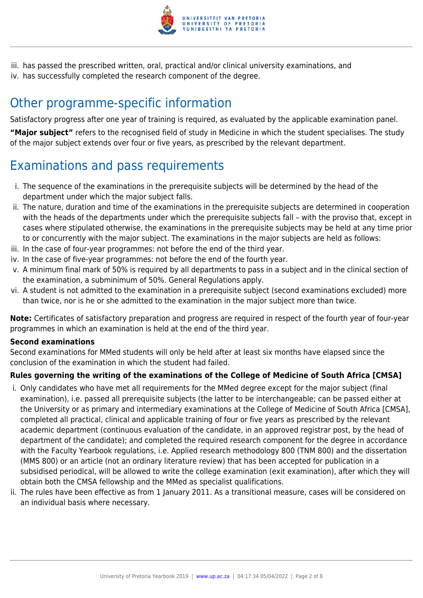

iii. has passed the prescribed written, oral, practical and/or clinical university examinations, and iv. has successfully completed the research component of the degree.

# Other programme-specific information

Satisfactory progress after one year of training is required, as evaluated by the applicable examination panel.

**"Major subject"** refers to the recognised field of study in Medicine in which the student specialises. The study of the major subject extends over four or five years, as prescribed by the relevant department.

# Examinations and pass requirements

- i. The sequence of the examinations in the prerequisite subjects will be determined by the head of the department under which the major subject falls.
- ii. The nature, duration and time of the examinations in the prerequisite subjects are determined in cooperation with the heads of the departments under which the prerequisite subjects fall – with the proviso that, except in cases where stipulated otherwise, the examinations in the prerequisite subjects may be held at any time prior to or concurrently with the major subject. The examinations in the major subjects are held as follows:
- iii. In the case of four-year programmes: not before the end of the third year.
- iv. In the case of five-year programmes: not before the end of the fourth year.
- v. A minimum final mark of 50% is required by all departments to pass in a subject and in the clinical section of the examination, a subminimum of 50%. General Regulations apply.
- vi. A student is not admitted to the examination in a prerequisite subject (second examinations excluded) more than twice, nor is he or she admitted to the examination in the major subject more than twice.

**Note:** Certificates of satisfactory preparation and progress are required in respect of the fourth year of four-year programmes in which an examination is held at the end of the third year.

#### **Second examinations**

Second examinations for MMed students will only be held after at least six months have elapsed since the conclusion of the examination in which the student had failed.

#### **Rules governing the writing of the examinations of the College of Medicine of South Africa [CMSA]**

- i. Only candidates who have met all requirements for the MMed degree except for the major subject (final examination), i.e. passed all prerequisite subjects (the latter to be interchangeable; can be passed either at the University or as primary and intermediary examinations at the College of Medicine of South Africa [CMSA], completed all practical, clinical and applicable training of four or five years as prescribed by the relevant academic department (continuous evaluation of the candidate, in an approved registrar post, by the head of department of the candidate); and completed the required research component for the degree in accordance with the Faculty Yearbook regulations, i.e. Applied research methodology 800 (TNM 800) and the dissertation (MMS 800) or an article (not an ordinary literature review) that has been accepted for publication in a subsidised periodical, will be allowed to write the college examination (exit examination), after which they will obtain both the CMSA fellowship and the MMed as specialist qualifications.
- ii. The rules have been effective as from 1 January 2011. As a transitional measure, cases will be considered on an individual basis where necessary.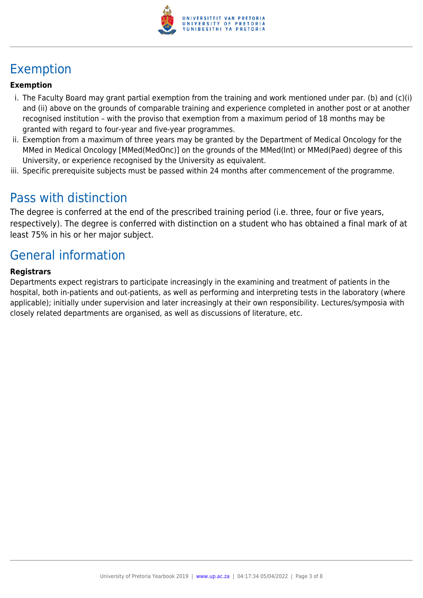

# Exemption

#### **Exemption**

- i. The Faculty Board may grant partial exemption from the training and work mentioned under par. (b) and (c)(i) and (ii) above on the grounds of comparable training and experience completed in another post or at another recognised institution – with the proviso that exemption from a maximum period of 18 months may be granted with regard to four-year and five-year programmes.
- ii. Exemption from a maximum of three years may be granted by the Department of Medical Oncology for the MMed in Medical Oncology [MMed(MedOnc)] on the grounds of the MMed(Int) or MMed(Paed) degree of this University, or experience recognised by the University as equivalent.
- iii. Specific prerequisite subjects must be passed within 24 months after commencement of the programme.

### Pass with distinction

The degree is conferred at the end of the prescribed training period (i.e. three, four or five years, respectively). The degree is conferred with distinction on a student who has obtained a final mark of at least 75% in his or her major subject.

## General information

#### **Registrars**

Departments expect registrars to participate increasingly in the examining and treatment of patients in the hospital, both in-patients and out-patients, as well as performing and interpreting tests in the laboratory (where applicable); initially under supervision and later increasingly at their own responsibility. Lectures/symposia with closely related departments are organised, as well as discussions of literature, etc.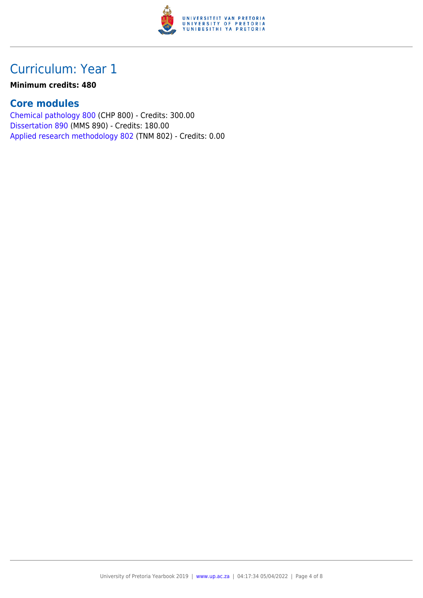

#### **Minimum credits: 480**

#### **Core modules**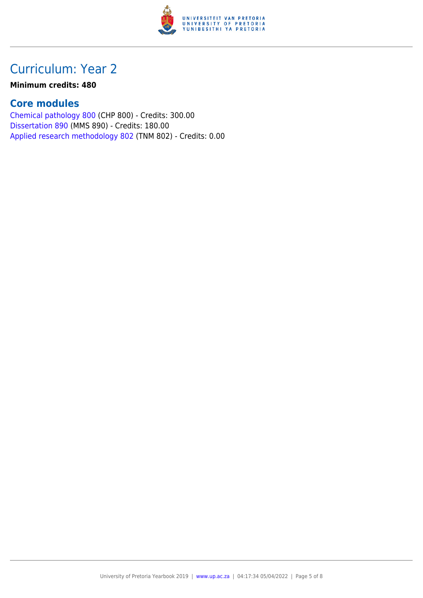

#### **Minimum credits: 480**

#### **Core modules**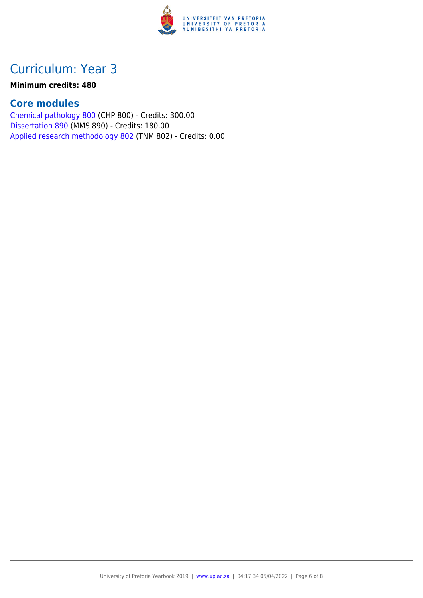

#### **Minimum credits: 480**

#### **Core modules**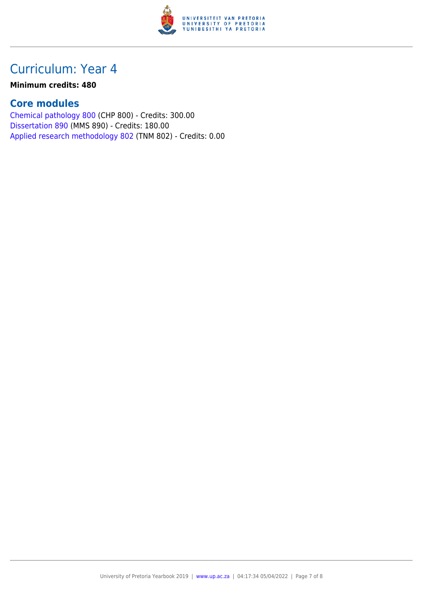

#### **Minimum credits: 480**

#### **Core modules**